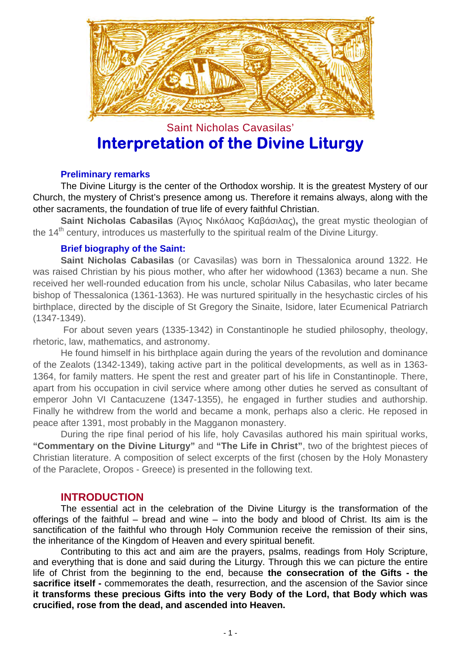

# Saint Nicholas Cavasilas' **Interpretation of the Divine Liturgy**

## **Preliminary remarks**

The Divine Liturgy is the center of the Orthodox worship. It is the greatest Mystery of our Church, the mystery of Christ's presence among us. Therefore it remains always, along with the other sacraments, the foundation of true life of every faithful Christian.

**Saint Nicholas Cabasilas** (Άγιος Νικόλαος Καβάσιλας)**,** the great mystic theologian of the 14<sup>th</sup> century, introduces us masterfully to the spiritual realm of the Divine Liturgy.

## **Brief biography of the Saint:**

**Saint Nicholas Cabasilas** (or Cavasilas) was born in Thessalonica around 1322. He was raised Christian by his pious mother, who after her widowhood (1363) became a nun. She received her well-rounded education from his uncle, scholar Nilus Cabasilas, who later became bishop of Thessalonica (1361-1363). He was nurtured spiritually in the hesychastic circles of his birthplace, directed by the disciple of St Gregory the Sinaite, Isidore, later Ecumenical Patriarch (1347-1349).

 For about seven years (1335-1342) in Constantinople he studied philosophy, theology, rhetoric, law, mathematics, and astronomy.

He found himself in his birthplace again during the years of the revolution and dominance of the Zealots (1342-1349), taking active part in the political developments, as well as in 1363- 1364, for family matters. He spent the rest and greater part of his life in Constantinople. There, apart from his occupation in civil service where among other duties he served as consultant of emperor John VI Cantacuzene (1347-1355), he engaged in further studies and authorship. Finally he withdrew from the world and became a monk, perhaps also a cleric. He reposed in peace after 1391, most probably in the Magganon monastery.

During the ripe final period of his life, holy Cavasilas authored his main spiritual works, **"Commentary on the Divine Liturgy"** and **"The Life in Christ"**, two of the brightest pieces of Christian literature. A composition of select excerpts of the first (chosen by the Holy Monastery of the Paraclete, Oropos - Greece) is presented in the following text.

## **INTRODUCTION**

The essential act in the celebration of the Divine Liturgy is the transformation of the offerings of the faithful – bread and wine – into the body and blood of Christ. Its aim is the sanctification of the faithful who through Holy Communion receive the remission of their sins, the inheritance of the Kingdom of Heaven and every spiritual benefit.

Contributing to this act and aim are the prayers, psalms, readings from Holy Scripture, and everything that is done and said during the Liturgy. Through this we can picture the entire life of Christ from the beginning to the end, because **the consecration of the Gifts - the sacrifice itself -** commemorates the death, resurrection, and the ascension of the Savior since **it transforms these precious Gifts into the very Body of the Lord, that Body which was crucified, rose from the dead, and ascended into Heaven.**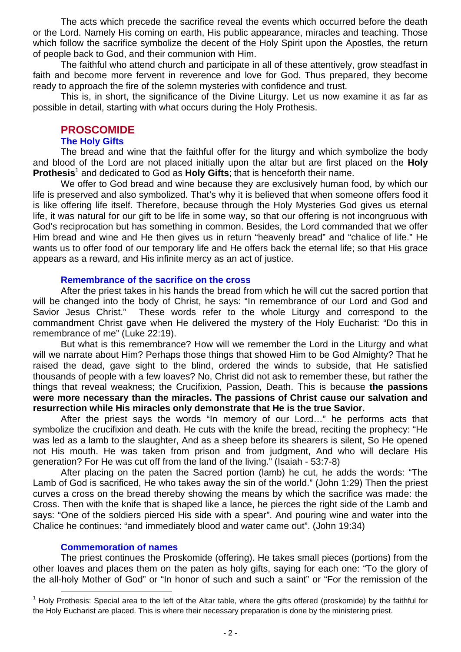The acts which precede the sacrifice reveal the events which occurred before the death or the Lord. Namely His coming on earth, His public appearance, miracles and teaching. Those which follow the sacrifice symbolize the decent of the Holy Spirit upon the Apostles, the return of people back to God, and their communion with Him.

The faithful who attend church and participate in all of these attentively, grow steadfast in faith and become more fervent in reverence and love for God. Thus prepared, they become ready to approach the fire of the solemn mysteries with confidence and trust.

This is, in short, the significance of the Divine Liturgy. Let us now examine it as far as possible in detail, starting with what occurs during the Holy Prothesis.

## **PROSCOMIDE**

#### **The Holy Gifts**

The bread and wine that the faithful offer for the liturgy and which symbolize the body and blood of the Lord are not placed initially upon the altar but are first placed on the **Holy**  Prothesis<sup>1</sup> and dedicated to God as Holy Gifts; that is henceforth their name.

We offer to God bread and wine because they are exclusively human food, by which our life is preserved and also symbolized. That's why it is believed that when someone offers food it is like offering life itself. Therefore, because through the Holy Mysteries God gives us eternal life, it was natural for our gift to be life in some way, so that our offering is not incongruous with God's reciprocation but has something in common. Besides, the Lord commanded that we offer Him bread and wine and He then gives us in return "heavenly bread" and "chalice of life." He wants us to offer food of our temporary life and He offers back the eternal life; so that His grace appears as a reward, and His infinite mercy as an act of justice.

#### **Remembrance of the sacrifice on the cross**

After the priest takes in his hands the bread from which he will cut the sacred portion that will be changed into the body of Christ, he says: "In remembrance of our Lord and God and Savior Jesus Christ." These words refer to the whole Liturgy and correspond to the commandment Christ gave when He delivered the mystery of the Holy Eucharist: "Do this in remembrance of me" (Luke 22:19).

But what is this remembrance? How will we remember the Lord in the Liturgy and what will we narrate about Him? Perhaps those things that showed Him to be God Almighty? That he raised the dead, gave sight to the blind, ordered the winds to subside, that He satisfied thousands of people with a few loaves? No, Christ did not ask to remember these, but rather the things that reveal weakness; the Crucifixion, Passion, Death. This is because **the passions were more necessary than the miracles. The passions of Christ cause our salvation and resurrection while His miracles only demonstrate that He is the true Savior.**

After the priest says the words "In memory of our Lord…" he performs acts that symbolize the crucifixion and death. He cuts with the knife the bread, reciting the prophecy: "He was led as a lamb to the slaughter, And as a sheep before its shearers is silent, So He opened not His mouth. He was taken from prison and from judgment, And who will declare His generation? For He was cut off from the land of the living." (Isaiah - 53:7-8)

After placing on the paten the Sacred portion (lamb) he cut, he adds the words: "The Lamb of God is sacrificed, He who takes away the sin of the world." (John 1:29) Then the priest curves a cross on the bread thereby showing the means by which the sacrifice was made: the Cross. Then with the knife that is shaped like a lance, he pierces the right side of the Lamb and says: "One of the soldiers pierced His side with a spear". And pouring wine and water into the Chalice he continues: "and immediately blood and water came out". (John 19:34)

#### **Commemoration of names**

The priest continues the Proskomide (offering). He takes small pieces (portions) from the other loaves and places them on the paten as holy gifts, saying for each one: "To the glory of the all-holy Mother of God" or "In honor of such and such a saint" or "For the remission of the

**<sup>1</sup>**<br><sup>1</sup> Holy Prothesis: Special area to the left of the Altar table, where the gifts offered (proskomide) by the faithful for the Holy Eucharist are placed. This is where their necessary preparation is done by the ministering priest.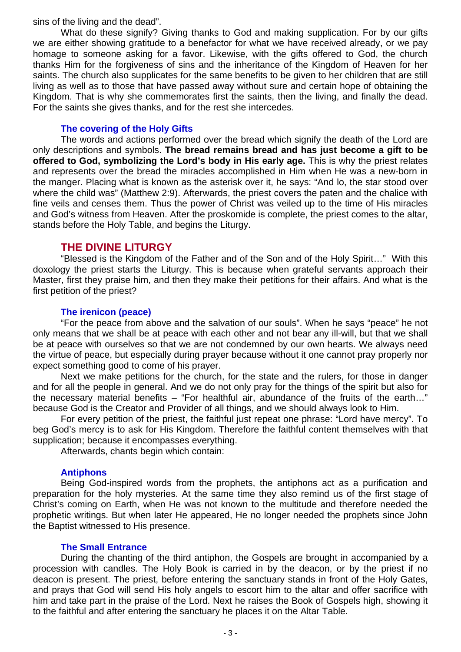sins of the living and the dead".

What do these signify? Giving thanks to God and making supplication. For by our gifts we are either showing gratitude to a benefactor for what we have received already, or we pay homage to someone asking for a favor. Likewise, with the gifts offered to God, the church thanks Him for the forgiveness of sins and the inheritance of the Kingdom of Heaven for her saints. The church also supplicates for the same benefits to be given to her children that are still living as well as to those that have passed away without sure and certain hope of obtaining the Kingdom. That is why she commemorates first the saints, then the living, and finally the dead. For the saints she gives thanks, and for the rest she intercedes.

#### **The covering of the Holy Gifts**

The words and actions performed over the bread which signify the death of the Lord are only descriptions and symbols. **The bread remains bread and has just become a gift to be offered to God, symbolizing the Lord's body in His early age.** This is why the priest relates and represents over the bread the miracles accomplished in Him when He was a new-born in the manger. Placing what is known as the asterisk over it, he says: "And lo, the star stood over where the child was" (Matthew 2:9). Afterwards, the priest covers the paten and the chalice with fine veils and censes them. Thus the power of Christ was veiled up to the time of His miracles and God's witness from Heaven. After the proskomide is complete, the priest comes to the altar, stands before the Holy Table, and begins the Liturgy.

## **THE DIVINE LITURGY**

"Blessed is the Kingdom of the Father and of the Son and of the Holy Spirit…" With this doxology the priest starts the Liturgy. This is because when grateful servants approach their Master, first they praise him, and then they make their petitions for their affairs. And what is the first petition of the priest?

## **The irenicon (peace)**

"For the peace from above and the salvation of our souls". When he says "peace" he not only means that we shall be at peace with each other and not bear any ill-will, but that we shall be at peace with ourselves so that we are not condemned by our own hearts. We always need the virtue of peace, but especially during prayer because without it one cannot pray properly nor expect something good to come of his prayer.

Next we make petitions for the church, for the state and the rulers, for those in danger and for all the people in general. And we do not only pray for the things of the spirit but also for the necessary material benefits – "For healthful air, abundance of the fruits of the earth…" because God is the Creator and Provider of all things, and we should always look to Him.

For every petition of the priest, the faithful just repeat one phrase: "Lord have mercy". To beg God's mercy is to ask for His Kingdom. Therefore the faithful content themselves with that supplication; because it encompasses everything.

Afterwards, chants begin which contain:

## **Antiphons**

Being God-inspired words from the prophets, the antiphons act as a purification and preparation for the holy mysteries. At the same time they also remind us of the first stage of Christ's coming on Earth, when He was not known to the multitude and therefore needed the prophetic writings. But when later He appeared, He no longer needed the prophets since John the Baptist witnessed to His presence.

## **The Small Entrance**

During the chanting of the third antiphon, the Gospels are brought in accompanied by a procession with candles. The Holy Book is carried in by the deacon, or by the priest if no deacon is present. The priest, before entering the sanctuary stands in front of the Holy Gates, and prays that God will send His holy angels to escort him to the altar and offer sacrifice with him and take part in the praise of the Lord. Next he raises the Book of Gospels high, showing it to the faithful and after entering the sanctuary he places it on the Altar Table.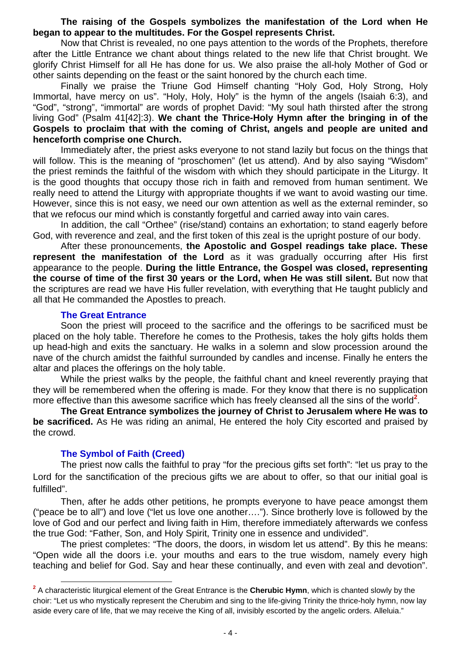## **The raising of the Gospels symbolizes the manifestation of the Lord when He began to appear to the multitudes. For the Gospel represents Christ.**

Now that Christ is revealed, no one pays attention to the words of the Prophets, therefore after the Little Entrance we chant about things related to the new life that Christ brought. We glorify Christ Himself for all He has done for us. We also praise the all-holy Mother of God or other saints depending on the feast or the saint honored by the church each time.

Finally we praise the Triune God Himself chanting "Holy God, Holy Strong, Holy Immortal, have mercy on us". "Holy, Holy, Holy" is the hymn of the angels (Isaiah 6:3), and "God", "strong", "immortal" are words of prophet David: "My soul hath thirsted after the strong living God" (Psalm 41[42]:3). **We chant the Thrice-Holy Hymn after the bringing in of the Gospels to proclaim that with the coming of Christ, angels and people are united and henceforth comprise one Church.**

Immediately after, the priest asks everyone to not stand lazily but focus on the things that will follow. This is the meaning of "proschomen" (let us attend). And by also saying "Wisdom" the priest reminds the faithful of the wisdom with which they should participate in the Liturgy. It is the good thoughts that occupy those rich in faith and removed from human sentiment. We really need to attend the Liturgy with appropriate thoughts if we want to avoid wasting our time. However, since this is not easy, we need our own attention as well as the external reminder, so that we refocus our mind which is constantly forgetful and carried away into vain cares.

In addition, the call "Orthee" (rise/stand) contains an exhortation; to stand eagerly before God, with reverence and zeal, and the first token of this zeal is the upright posture of our body.

After these pronouncements, **the Apostolic and Gospel readings take place. These represent the manifestation of the Lord** as it was gradually occurring after His first appearance to the people. **During the little Entrance, the Gospel was closed, representing the course of time of the first 30 years or the Lord, when He was still silent.** But now that the scriptures are read we have His fuller revelation, with everything that He taught publicly and all that He commanded the Apostles to preach.

#### **The Great Entrance**

Soon the priest will proceed to the sacrifice and the offerings to be sacrificed must be placed on the holy table. Therefore he comes to the Prothesis, takes the holy gifts holds them up head-high and exits the sanctuary. He walks in a solemn and slow procession around the nave of the church amidst the faithful surrounded by candles and incense. Finally he enters the altar and places the offerings on the holy table.

While the priest walks by the people, the faithful chant and kneel reverently praying that they will be remembered when the offering is made. For they know that there is no supplication more effective than this awesome sacrifice which has freely cleansed all the sins of the world<sup>2</sup>.

**The Great Entrance symbolizes the journey of Christ to Jerusalem where He was to be sacrificed.** As He was riding an animal, He entered the holy City escorted and praised by the crowd.

## **The Symbol of Faith (Creed)**

The priest now calls the faithful to pray "for the precious gifts set forth": "let us pray to the Lord for the sanctification of the precious gifts we are about to offer, so that our initial goal is fulfilled".

Then, after he adds other petitions, he prompts everyone to have peace amongst them ("peace be to all") and love ("let us love one another…."). Since brotherly love is followed by the love of God and our perfect and living faith in Him, therefore immediately afterwards we confess the true God: "Father, Son, and Holy Spirit, Trinity one in essence and undivided".

The priest completes: "The doors, the doors, in wisdom let us attend". By this he means: "Open wide all the doors i.e. your mouths and ears to the true wisdom, namely every high teaching and belief for God. Say and hear these continually, and even with zeal and devotion".

**<sup>2</sup>** A characteristic liturgical element of the Great Entrance is the **Cherubic Hymn**, which is chanted slowly by the choir: "Let us who mystically represent the Cherubim and sing to the life-giving Trinity the thrice-holy hymn, now lay aside every care of life, that we may receive the King of all, invisibly escorted by the angelic orders. Alleluia."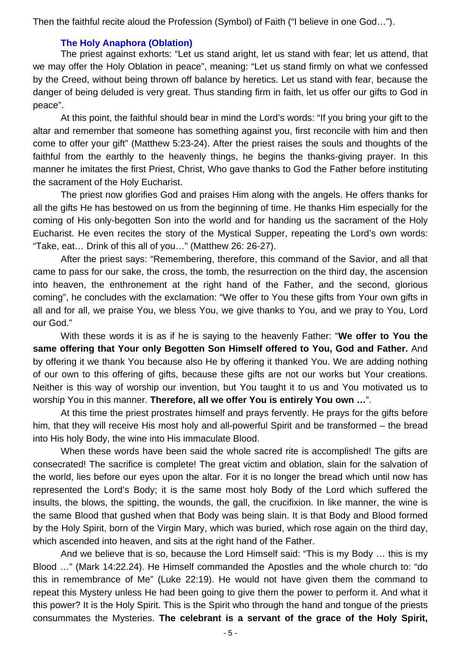Then the faithful recite aloud the Profession (Symbol) of Faith ("I believe in one God…").

#### **The Holy Anaphora (Oblation)**

The priest against exhorts: "Let us stand aright, let us stand with fear; let us attend, that we may offer the Holy Oblation in peace", meaning: "Let us stand firmly on what we confessed by the Creed, without being thrown off balance by heretics. Let us stand with fear, because the danger of being deluded is very great. Thus standing firm in faith, let us offer our gifts to God in peace".

At this point, the faithful should bear in mind the Lord's words: "If you bring your gift to the altar and remember that someone has something against you, first reconcile with him and then come to offer your gift" (Matthew 5:23-24). After the priest raises the souls and thoughts of the faithful from the earthly to the heavenly things, he begins the thanks-giving prayer. In this manner he imitates the first Priest, Christ, Who gave thanks to God the Father before instituting the sacrament of the Holy Eucharist.

The priest now glorifies God and praises Him along with the angels. He offers thanks for all the gifts He has bestowed on us from the beginning of time. He thanks Him especially for the coming of His only-begotten Son into the world and for handing us the sacrament of the Holy Eucharist. He even recites the story of the Mystical Supper, repeating the Lord's own words: "Take, eat… Drink of this all of you…" (Matthew 26: 26-27).

After the priest says: "Remembering, therefore, this command of the Savior, and all that came to pass for our sake, the cross, the tomb, the resurrection on the third day, the ascension into heaven, the enthronement at the right hand of the Father, and the second, glorious coming", he concludes with the exclamation: "We offer to You these gifts from Your own gifts in all and for all, we praise You, we bless You, we give thanks to You, and we pray to You, Lord our God."

With these words it is as if he is saying to the heavenly Father: "**We offer to You the same offering that Your only Begotten Son Himself offered to You, God and Father.** And by offering it we thank You because also He by offering it thanked You. We are adding nothing of our own to this offering of gifts, because these gifts are not our works but Your creations. Neither is this way of worship our invention, but You taught it to us and You motivated us to worship You in this manner. **Therefore, all we offer You is entirely You own …**".

At this time the priest prostrates himself and prays fervently. He prays for the gifts before him, that they will receive His most holy and all-powerful Spirit and be transformed – the bread into His holy Body, the wine into His immaculate Blood.

When these words have been said the whole sacred rite is accomplished! The gifts are consecrated! The sacrifice is complete! The great victim and oblation, slain for the salvation of the world, lies before our eyes upon the altar. For it is no longer the bread which until now has represented the Lord's Body; it is the same most holy Body of the Lord which suffered the insults, the blows, the spitting, the wounds, the gall, the crucifixion. In like manner, the wine is the same Blood that gushed when that Body was being slain. It is that Body and Blood formed by the Holy Spirit, born of the Virgin Mary, which was buried, which rose again on the third day, which ascended into heaven, and sits at the right hand of the Father.

And we believe that is so, because the Lord Himself said: "This is my Body … this is my Blood …" (Mark 14:22.24). He Himself commanded the Apostles and the whole church to: "do this in remembrance of Me" (Luke 22:19). He would not have given them the command to repeat this Mystery unless He had been going to give them the power to perform it. And what it this power? It is the Holy Spirit. This is the Spirit who through the hand and tongue of the priests consummates the Mysteries. **The celebrant is a servant of the grace of the Holy Spirit,**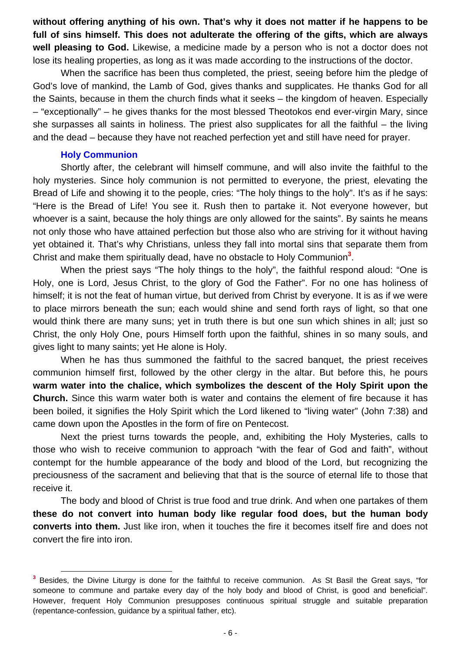**without offering anything of his own. That's why it does not matter if he happens to be full of sins himself. This does not adulterate the offering of the gifts, which are always well pleasing to God.** Likewise, a medicine made by a person who is not a doctor does not lose its healing properties, as long as it was made according to the instructions of the doctor.

When the sacrifice has been thus completed, the priest, seeing before him the pledge of God's love of mankind, the Lamb of God, gives thanks and supplicates. He thanks God for all the Saints, because in them the church finds what it seeks – the kingdom of heaven. Especially – "exceptionally" – he gives thanks for the most blessed Theotokos end ever-virgin Mary, since she surpasses all saints in holiness. The priest also supplicates for all the faithful – the living and the dead – because they have not reached perfection yet and still have need for prayer.

#### **Holy Communion**

Shortly after, the celebrant will himself commune, and will also invite the faithful to the holy mysteries. Since holy communion is not permitted to everyone, the priest, elevating the Bread of Life and showing it to the people, cries: "The holy things to the holy". It's as if he says: "Here is the Bread of Life! You see it. Rush then to partake it. Not everyone however, but whoever is a saint, because the holy things are only allowed for the saints". By saints he means not only those who have attained perfection but those also who are striving for it without having yet obtained it. That's why Christians, unless they fall into mortal sins that separate them from Christ and make them spiritually dead, have no obstacle to Holy Communion**<sup>3</sup>** .

When the priest says "The holy things to the holy", the faithful respond aloud: "One is Holy, one is Lord, Jesus Christ, to the glory of God the Father". For no one has holiness of himself; it is not the feat of human virtue, but derived from Christ by everyone. It is as if we were to place mirrors beneath the sun; each would shine and send forth rays of light, so that one would think there are many suns; yet in truth there is but one sun which shines in all; just so Christ, the only Holy One, pours Himself forth upon the faithful, shines in so many souls, and gives light to many saints; yet He alone is Holy.

When he has thus summoned the faithful to the sacred banquet, the priest receives communion himself first, followed by the other clergy in the altar. But before this, he pours **warm water into the chalice, which symbolizes the descent of the Holy Spirit upon the Church.** Since this warm water both is water and contains the element of fire because it has been boiled, it signifies the Holy Spirit which the Lord likened to "living water" (John 7:38) and came down upon the Apostles in the form of fire on Pentecost.

Next the priest turns towards the people, and, exhibiting the Holy Mysteries, calls to those who wish to receive communion to approach "with the fear of God and faith", without contempt for the humble appearance of the body and blood of the Lord, but recognizing the preciousness of the sacrament and believing that that is the source of eternal life to those that receive it.

The body and blood of Christ is true food and true drink. And when one partakes of them **these do not convert into human body like regular food does, but the human body converts into them.** Just like iron, when it touches the fire it becomes itself fire and does not convert the fire into iron.

**<sup>3</sup>** Besides, the Divine Liturgy is done for the faithful to receive communion. As St Basil the Great says, "for someone to commune and partake every day of the holy body and blood of Christ, is good and beneficial". However, frequent Holy Communion presupposes continuous spiritual struggle and suitable preparation (repentance-confession, guidance by a spiritual father, etc).